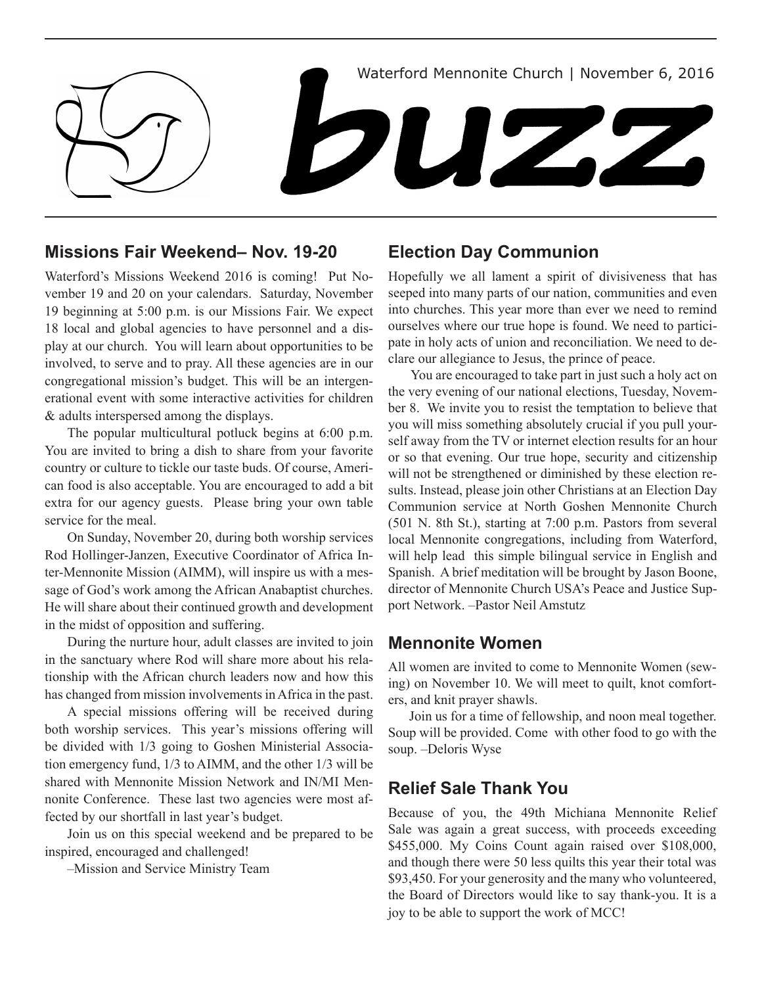

## **Missions Fair Weekend– Nov. 19-20**

Waterford's Missions Weekend 2016 is coming! Put November 19 and 20 on your calendars. Saturday, November 19 beginning at 5:00 p.m. is our Missions Fair. We expect 18 local and global agencies to have personnel and a display at our church. You will learn about opportunities to be involved, to serve and to pray. All these agencies are in our congregational mission's budget. This will be an intergenerational event with some interactive activities for children & adults interspersed among the displays.

The popular multicultural potluck begins at 6:00 p.m. You are invited to bring a dish to share from your favorite country or culture to tickle our taste buds. Of course, American food is also acceptable. You are encouraged to add a bit extra for our agency guests. Please bring your own table service for the meal.

On Sunday, November 20, during both worship services Rod Hollinger-Janzen, Executive Coordinator of Africa Inter-Mennonite Mission (AIMM), will inspire us with a message of God's work among the African Anabaptist churches. He will share about their continued growth and development in the midst of opposition and suffering.

During the nurture hour, adult classes are invited to join in the sanctuary where Rod will share more about his relationship with the African church leaders now and how this has changed from mission involvements in Africa in the past.

A special missions offering will be received during both worship services. This year's missions offering will be divided with 1/3 going to Goshen Ministerial Association emergency fund, 1/3 to AIMM, and the other 1/3 will be shared with Mennonite Mission Network and IN/MI Mennonite Conference. These last two agencies were most affected by our shortfall in last year's budget.

Join us on this special weekend and be prepared to be inspired, encouraged and challenged!

–Mission and Service Ministry Team

## **Election Day Communion**

Hopefully we all lament a spirit of divisiveness that has seeped into many parts of our nation, communities and even into churches. This year more than ever we need to remind ourselves where our true hope is found. We need to participate in holy acts of union and reconciliation. We need to declare our allegiance to Jesus, the prince of peace.

You are encouraged to take part in just such a holy act on the very evening of our national elections, Tuesday, November 8. We invite you to resist the temptation to believe that you will miss something absolutely crucial if you pull yourself away from the TV or internet election results for an hour or so that evening. Our true hope, security and citizenship will not be strengthened or diminished by these election results. Instead, please join other Christians at an Election Day Communion service at North Goshen Mennonite Church (501 N. 8th St.), starting at 7:00 p.m. Pastors from several local Mennonite congregations, including from Waterford, will help lead this simple bilingual service in English and Spanish. A brief meditation will be brought by Jason Boone, director of Mennonite Church USA's Peace and Justice Support Network. –Pastor Neil Amstutz

### **Mennonite Women**

All women are invited to come to Mennonite Women (sewing) on November 10. We will meet to quilt, knot comforters, and knit prayer shawls.

Join us for a time of fellowship, and noon meal together. Soup will be provided. Come with other food to go with the soup. –Deloris Wyse

## **Relief Sale Thank You**

Because of you, the 49th Michiana Mennonite Relief Sale was again a great success, with proceeds exceeding \$455,000. My Coins Count again raised over \$108,000, and though there were 50 less quilts this year their total was \$93,450. For your generosity and the many who volunteered, the Board of Directors would like to say thank-you. It is a joy to be able to support the work of MCC!